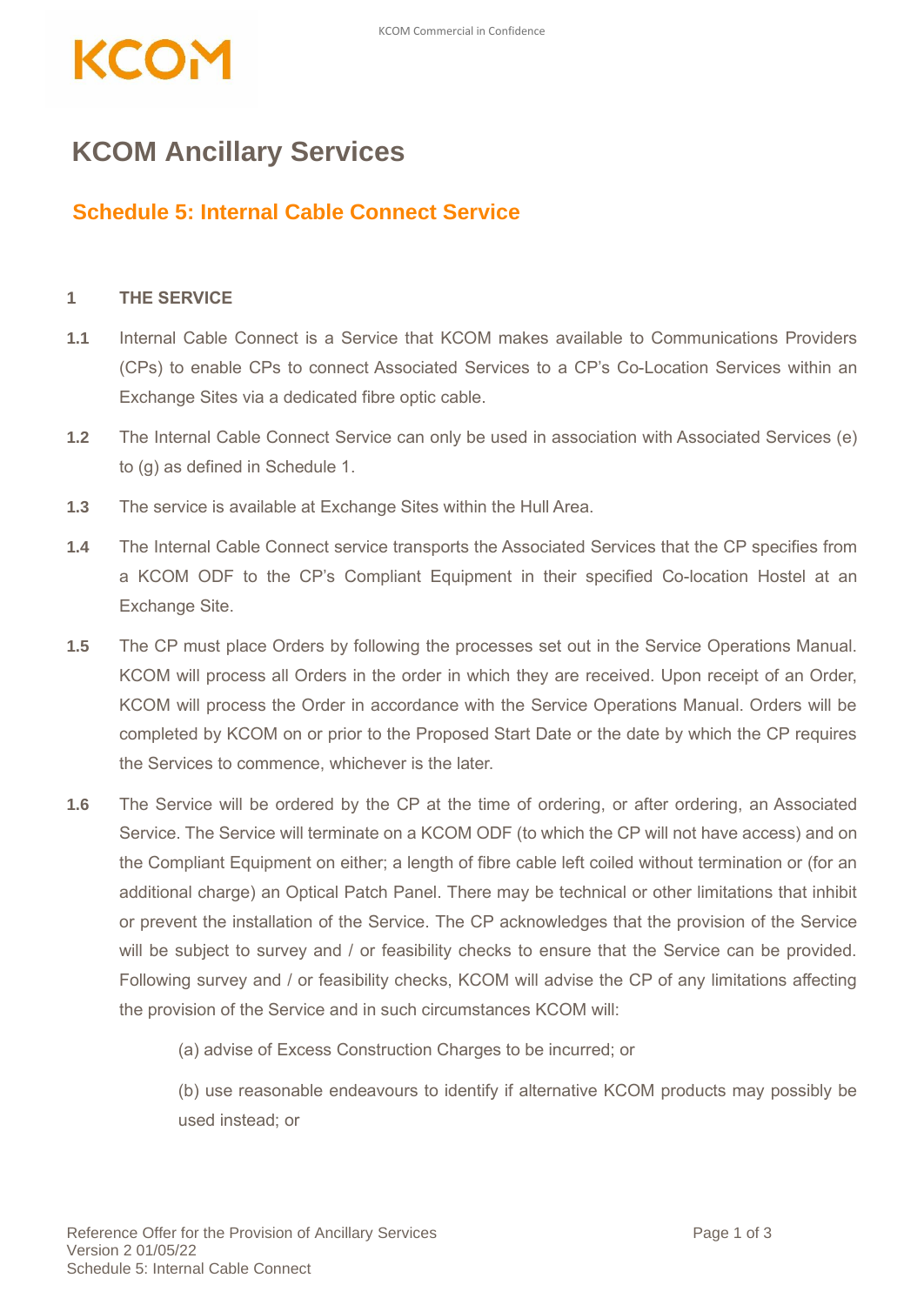## KCO<del>r</del>

## **KCOM Ancillary Services**

## **Schedule 5: Internal Cable Connect Service**

## **1 THE SERVICE**

- **1.1** Internal Cable Connect is a Service that KCOM makes available to Communications Providers (CPs) to enable CPs to connect Associated Services to a CP's Co-Location Services within an Exchange Sites via a dedicated fibre optic cable.
- **1.2** The Internal Cable Connect Service can only be used in association with Associated Services (e) to (g) as defined in Schedule 1.
- **1.3** The service is available at Exchange Sites within the Hull Area.
- **1.4** The Internal Cable Connect service transports the Associated Services that the CP specifies from a KCOM ODF to the CP's Compliant Equipment in their specified Co-location Hostel at an Exchange Site.
- **1.5** The CP must place Orders by following the processes set out in the Service Operations Manual. KCOM will process all Orders in the order in which they are received. Upon receipt of an Order, KCOM will process the Order in accordance with the Service Operations Manual. Orders will be completed by KCOM on or prior to the Proposed Start Date or the date by which the CP requires the Services to commence, whichever is the later.
- **1.6** The Service will be ordered by the CP at the time of ordering, or after ordering, an Associated Service. The Service will terminate on a KCOM ODF (to which the CP will not have access) and on the Compliant Equipment on either; a length of fibre cable left coiled without termination or (for an additional charge) an Optical Patch Panel. There may be technical or other limitations that inhibit or prevent the installation of the Service. The CP acknowledges that the provision of the Service will be subject to survey and / or feasibility checks to ensure that the Service can be provided. Following survey and / or feasibility checks, KCOM will advise the CP of any limitations affecting the provision of the Service and in such circumstances KCOM will:

(a) advise of Excess Construction Charges to be incurred; or

(b) use reasonable endeavours to identify if alternative KCOM products may possibly be used instead; or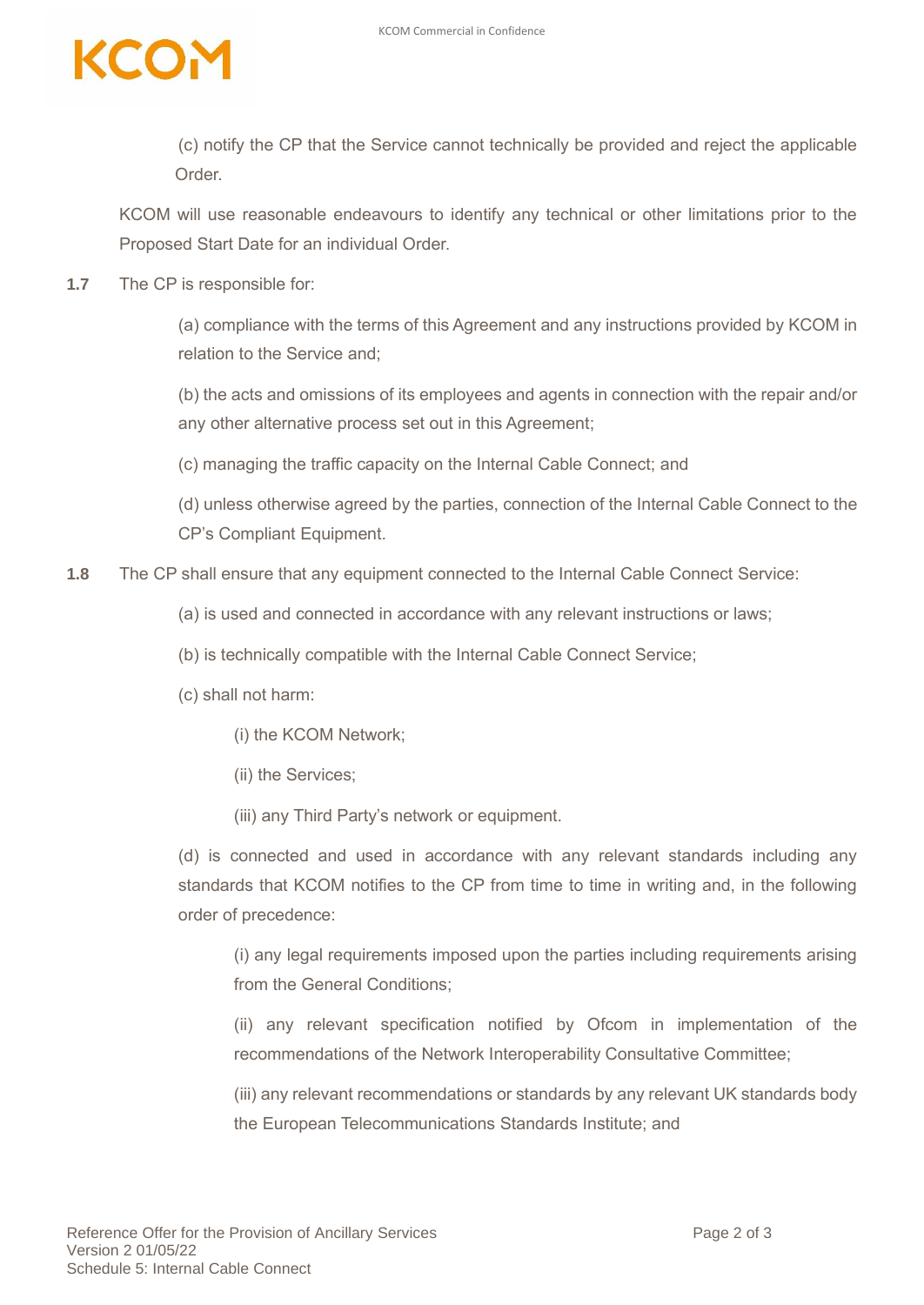

(c) notify the CP that the Service cannot technically be provided and reject the applicable **Order** 

KCOM will use reasonable endeavours to identify any technical or other limitations prior to the Proposed Start Date for an individual Order.

**1.7** The CP is responsible for:

(a) compliance with the terms of this Agreement and any instructions provided by KCOM in relation to the Service and;

(b) the acts and omissions of its employees and agents in connection with the repair and/or any other alternative process set out in this Agreement;

(c) managing the traffic capacity on the Internal Cable Connect; and

(d) unless otherwise agreed by the parties, connection of the Internal Cable Connect to the CP's Compliant Equipment.

**1.8** The CP shall ensure that any equipment connected to the Internal Cable Connect Service:

- (a) is used and connected in accordance with any relevant instructions or laws;
- (b) is technically compatible with the Internal Cable Connect Service;
- (c) shall not harm:
	- (i) the KCOM Network;
	- (ii) the Services;
	- (iii) any Third Party's network or equipment.

(d) is connected and used in accordance with any relevant standards including any standards that KCOM notifies to the CP from time to time in writing and, in the following order of precedence:

(i) any legal requirements imposed upon the parties including requirements arising from the General Conditions;

(ii) any relevant specification notified by Ofcom in implementation of the recommendations of the Network Interoperability Consultative Committee;

(iii) any relevant recommendations or standards by any relevant UK standards body the European Telecommunications Standards Institute; and